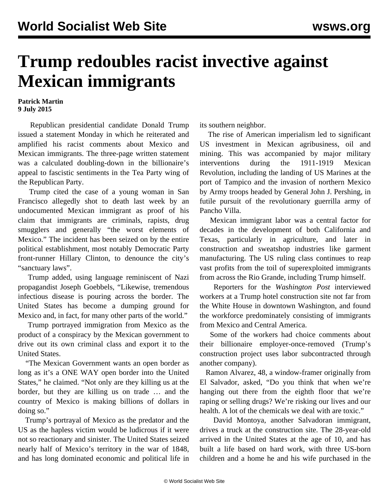## **Trump redoubles racist invective against Mexican immigrants**

## **Patrick Martin 9 July 2015**

 Republican presidential candidate Donald Trump issued a statement Monday in which he reiterated and amplified his racist comments about Mexico and Mexican immigrants. The three-page written statement was a calculated doubling-down in the billionaire's appeal to fascistic sentiments in the Tea Party wing of the Republican Party.

 Trump cited the case of a young woman in San Francisco allegedly shot to death last week by an undocumented Mexican immigrant as proof of his claim that immigrants are criminals, rapists, drug smugglers and generally "the worst elements of Mexico." The incident has been seized on by the entire political establishment, most notably Democratic Party front-runner Hillary [Clinton,](/en/articles/2015/07/09/clin-j09.html) to denounce the city's "sanctuary laws".

 Trump added, using language reminiscent of Nazi propagandist Joseph Goebbels, "Likewise, tremendous infectious disease is pouring across the border. The United States has become a dumping ground for Mexico and, in fact, for many other parts of the world."

 Trump portrayed immigration from Mexico as the product of a conspiracy by the Mexican government to drive out its own criminal class and export it to the United States.

 "The Mexican Government wants an open border as long as it's a ONE WAY open border into the United States," he claimed. "Not only are they killing us at the border, but they are killing us on trade … and the country of Mexico is making billions of dollars in doing so."

 Trump's portrayal of Mexico as the predator and the US as the hapless victim would be ludicrous if it were not so reactionary and sinister. The United States seized nearly half of Mexico's territory in the war of 1848, and has long dominated economic and political life in its southern neighbor.

 The rise of American imperialism led to significant US investment in Mexican agribusiness, oil and mining. This was accompanied by major military interventions during the 1911-1919 Mexican Revolution, including the landing of US Marines at the port of Tampico and the invasion of northern Mexico by Army troops headed by General John J. Pershing, in futile pursuit of the revolutionary guerrilla army of Pancho Villa.

 Mexican immigrant labor was a central factor for decades in the development of both California and Texas, particularly in agriculture, and later in construction and sweatshop industries like garment manufacturing. The US ruling class continues to reap vast profits from the toil of superexploited immigrants from across the Rio Grande, including Trump himself.

 Reporters for the *Washington Post* interviewed workers at a Trump hotel construction site not far from the White House in downtown Washington, and found the workforce predominately consisting of immigrants from Mexico and Central America.

 Some of the workers had choice comments about their billionaire employer-once-removed (Trump's construction project uses labor subcontracted through another company).

 Ramon Alvarez, 48, a window-framer originally from El Salvador, asked, "Do you think that when we're hanging out there from the eighth floor that we're raping or selling drugs? We're risking our lives and our health. A lot of the chemicals we deal with are toxic."

 David Montoya, another Salvadoran immigrant, drives a truck at the construction site. The 28-year-old arrived in the United States at the age of 10, and has built a life based on hard work, with three US-born children and a home he and his wife purchased in the